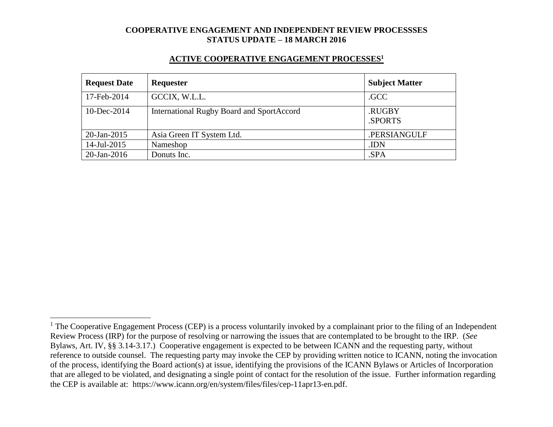#### **ACTIVE COOPERATIVE ENGAGEMENT PROCESSES<sup>1</sup>**

| <b>Request Date</b> | Requester                                 | <b>Subject Matter</b> |
|---------------------|-------------------------------------------|-----------------------|
| 17-Feb-2014         | GCCIX, W.L.L.                             | .GCC                  |
| 10-Dec-2014         | International Rugby Board and SportAccord | .RUGBY<br>.SPORTS     |
| 20-Jan-2015         | Asia Green IT System Ltd.                 | .PERSIANGULF          |
| 14-Jul-2015         | Nameshop                                  | .IDN                  |
| $20$ -Jan-2016      | Donuts Inc.                               | .SPA                  |

 $\overline{a}$ 

 $1$  The Cooperative Engagement Process (CEP) is a process voluntarily invoked by a complainant prior to the filing of an Independent Review Process (IRP) for the purpose of resolving or narrowing the issues that are contemplated to be brought to the IRP. (*See* Bylaws, Art. IV, §§ 3.14-3.17.) Cooperative engagement is expected to be between ICANN and the requesting party, without reference to outside counsel. The requesting party may invoke the CEP by providing written notice to ICANN, noting the invocation of the process, identifying the Board action(s) at issue, identifying the provisions of the ICANN Bylaws or Articles of Incorporation that are alleged to be violated, and designating a single point of contact for the resolution of the issue. Further information regarding the CEP is available at: https://www.icann.org/en/system/files/files/cep-11apr13-en.pdf.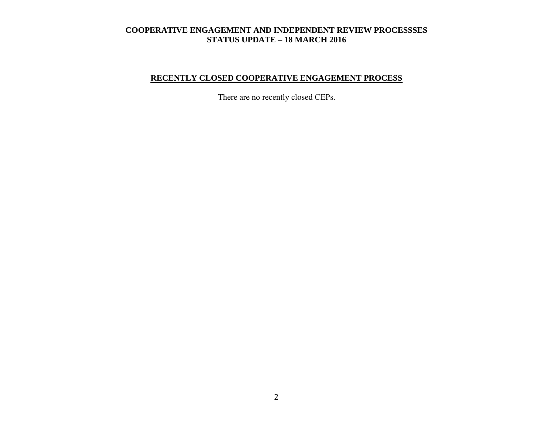# **RECENTLY CLOSED COOPERATIVE ENGAGEMENT PROCESS**

There are no recently closed CEPs.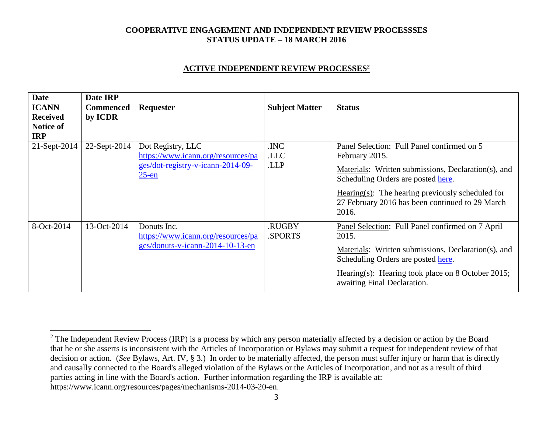#### **ACTIVE INDEPENDENT REVIEW PROCESSES<sup>2</sup>**

| <b>Date</b><br><b>ICANN</b><br><b>Received</b><br><b>Notice of</b><br><b>IRP</b> | Date IRP<br><b>Commenced</b><br>by ICDR | Requester                                                                                                | <b>Subject Matter</b> | <b>Status</b>                                                                                                                                                                                                                                                                 |
|----------------------------------------------------------------------------------|-----------------------------------------|----------------------------------------------------------------------------------------------------------|-----------------------|-------------------------------------------------------------------------------------------------------------------------------------------------------------------------------------------------------------------------------------------------------------------------------|
| 21-Sept-2014                                                                     | 22-Sept-2014                            | Dot Registry, LLC<br>https://www.icann.org/resources/pa<br>ges/dot-registry-v-icann-2014-09-<br>$25$ -en | .INC<br>.LLC<br>.LLP  | Panel Selection: Full Panel confirmed on 5<br>February 2015.<br>Materials: Written submissions, Declaration(s), and<br>Scheduling Orders are posted here.<br>Hearing $(s)$ : The hearing previously scheduled for<br>27 February 2016 has been continued to 29 March<br>2016. |
| 8-Oct-2014                                                                       | 13-Oct-2014                             | Donuts Inc.<br>https://www.icann.org/resources/pa<br>ges/donuts-v-icann-2014-10-13-en                    | .RUGBY<br>.SPORTS     | Panel Selection: Full Panel confirmed on 7 April<br>2015.<br>Materials: Written submissions, Declaration(s), and<br>Scheduling Orders are posted here.<br>Hearing(s): Hearing took place on 8 October 2015;<br>awaiting Final Declaration.                                    |

 $\overline{a}$ 

 $2$  The Independent Review Process (IRP) is a process by which any person materially affected by a decision or action by the Board that he or she asserts is inconsistent with the Articles of Incorporation or Bylaws may submit a request for independent review of that decision or action. (*See* Bylaws, Art. IV, § 3.) In order to be materially affected, the person must suffer injury or harm that is directly and causally connected to the Board's alleged violation of the Bylaws or the Articles of Incorporation, and not as a result of third parties acting in line with the Board's action. Further information regarding the IRP is available at: https://www.icann.org/resources/pages/mechanisms-2014-03-20-en.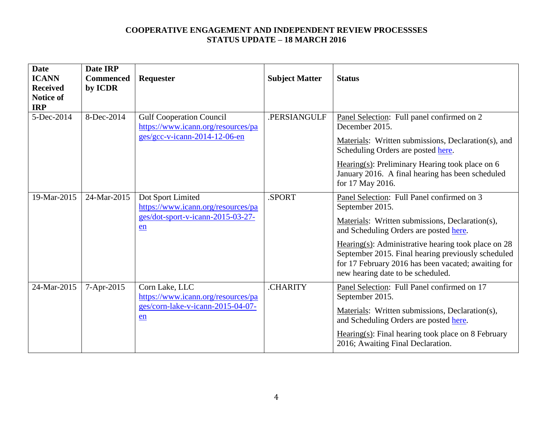| <b>Date</b><br><b>ICANN</b><br><b>Received</b><br><b>Notice of</b><br><b>IRP</b> | Date IRP<br><b>Commenced</b><br>by ICDR | Requester                                                                                                | <b>Subject Matter</b> | <b>Status</b>                                                                                                                                                                                                                                                                                                                                                         |
|----------------------------------------------------------------------------------|-----------------------------------------|----------------------------------------------------------------------------------------------------------|-----------------------|-----------------------------------------------------------------------------------------------------------------------------------------------------------------------------------------------------------------------------------------------------------------------------------------------------------------------------------------------------------------------|
| 5-Dec-2014                                                                       | 8-Dec-2014                              | <b>Gulf Cooperation Council</b><br>https://www.icann.org/resources/pa<br>$ges/gcc-v-icann-2014-12-06-en$ | .PERSIANGULF          | Panel Selection: Full panel confirmed on 2<br>December 2015.<br>Materials: Written submissions, Declaration(s), and<br>Scheduling Orders are posted here.<br>Hearing(s): Preliminary Hearing took place on $6$<br>January 2016. A final hearing has been scheduled<br>for 17 May 2016.                                                                                |
| 19-Mar-2015                                                                      | 24-Mar-2015                             | Dot Sport Limited<br>https://www.icann.org/resources/pa<br>ges/dot-sport-v-icann-2015-03-27-<br>en       | .SPORT                | Panel Selection: Full Panel confirmed on 3<br>September 2015.<br>Materials: Written submissions, Declaration(s),<br>and Scheduling Orders are posted here.<br>Hearing(s): Administrative hearing took place on $28$<br>September 2015. Final hearing previously scheduled<br>for 17 February 2016 has been vacated; awaiting for<br>new hearing date to be scheduled. |
| 24-Mar-2015                                                                      | 7-Apr-2015                              | Corn Lake, LLC<br>https://www.icann.org/resources/pa<br>ges/corn-lake-v-icann-2015-04-07-<br>en          | .CHARITY              | Panel Selection: Full Panel confirmed on 17<br>September 2015.<br>Materials: Written submissions, Declaration(s),<br>and Scheduling Orders are posted here.<br>$Hearing(s): Final hearing took place on 8 February$<br>2016; Awaiting Final Declaration.                                                                                                              |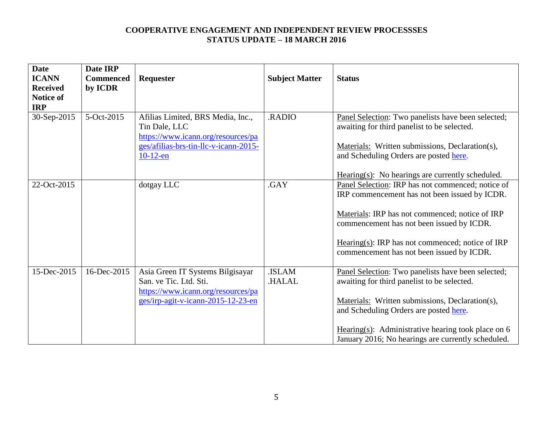| <b>Date</b><br><b>ICANN</b><br><b>Received</b><br>Notice of<br><b>IRP</b> | Date IRP<br><b>Commenced</b><br>by ICDR | Requester                                                                                                                                        | <b>Subject Matter</b>  | <b>Status</b>                                                                                                                                                                                                                                                                                                |
|---------------------------------------------------------------------------|-----------------------------------------|--------------------------------------------------------------------------------------------------------------------------------------------------|------------------------|--------------------------------------------------------------------------------------------------------------------------------------------------------------------------------------------------------------------------------------------------------------------------------------------------------------|
| 30-Sep-2015                                                               | 5-Oct-2015                              | Afilias Limited, BRS Media, Inc.,<br>Tin Dale, LLC<br>https://www.icann.org/resources/pa<br>ges/afilias-brs-tin-llc-v-icann-2015-<br>$10-12$ -en | .RADIO                 | Panel Selection: Two panelists have been selected;<br>awaiting for third panelist to be selected.<br>Materials: Written submissions, Declaration(s),<br>and Scheduling Orders are posted here.<br>$Hearing(s)$ : No hearings are currently scheduled.                                                        |
| 22-Oct-2015                                                               |                                         | dotgay LLC                                                                                                                                       | .GAY                   | Panel Selection: IRP has not commenced; notice of<br>IRP commencement has not been issued by ICDR.<br>Materials: IRP has not commenced; notice of IRP<br>commencement has not been issued by ICDR.<br>Hearing(s): IRP has not commenced; notice of IRP<br>commencement has not been issued by ICDR.          |
| 15-Dec-2015                                                               | 16-Dec-2015                             | Asia Green IT Systems Bilgisayar<br>San. ve Tic. Ltd. Sti.<br>https://www.icann.org/resources/pa<br>ges/irp-agit-v-icann-2015-12-23-en           | .ISLAM<br><b>HALAL</b> | Panel Selection: Two panelists have been selected;<br>awaiting for third panelist to be selected.<br>Materials: Written submissions, Declaration(s),<br>and Scheduling Orders are posted here.<br>Hearing(s): Administrative hearing took place on $6$<br>January 2016; No hearings are currently scheduled. |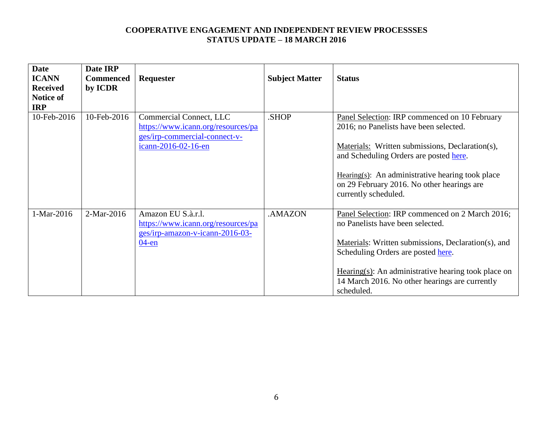| <b>Date</b>     | Date IRP         |                                    |                       |                                                                                         |
|-----------------|------------------|------------------------------------|-----------------------|-----------------------------------------------------------------------------------------|
| <b>ICANN</b>    | <b>Commenced</b> | Requester                          | <b>Subject Matter</b> | <b>Status</b>                                                                           |
| <b>Received</b> | by ICDR          |                                    |                       |                                                                                         |
| Notice of       |                  |                                    |                       |                                                                                         |
| <b>IRP</b>      |                  |                                    |                       |                                                                                         |
| 10-Feb-2016     | 10-Feb-2016      | Commercial Connect, LLC            | .SHOP                 | Panel Selection: IRP commenced on 10 February                                           |
|                 |                  | https://www.icann.org/resources/pa |                       | 2016; no Panelists have been selected.                                                  |
|                 |                  | ges/irp-commercial-connect-v-      |                       |                                                                                         |
|                 |                  | icann-2016-02-16-en                |                       | Materials: Written submissions, Declaration(s),                                         |
|                 |                  |                                    |                       | and Scheduling Orders are posted here.                                                  |
|                 |                  |                                    |                       |                                                                                         |
|                 |                  |                                    |                       | Hearing(s): An administrative hearing took place                                        |
|                 |                  |                                    |                       | on 29 February 2016. No other hearings are                                              |
|                 |                  |                                    |                       | currently scheduled.                                                                    |
|                 |                  |                                    |                       |                                                                                         |
| 1-Mar-2016      | 2-Mar-2016       | Amazon EU S.à.r.l.                 | .AMAZON               | Panel Selection: IRP commenced on 2 March 2016;                                         |
|                 |                  | https://www.icann.org/resources/pa |                       | no Panelists have been selected.                                                        |
|                 |                  | ges/irp-amazon-v-icann-2016-03-    |                       |                                                                                         |
|                 |                  | $04$ -en                           |                       | Materials: Written submissions, Declaration(s), and                                     |
|                 |                  |                                    |                       | Scheduling Orders are posted here.                                                      |
|                 |                  |                                    |                       |                                                                                         |
|                 |                  |                                    |                       | $\frac{\text{Hearing}(s)}{\text{Hearing}(s)}$ : An administrative hearing took place on |
|                 |                  |                                    |                       | 14 March 2016. No other hearings are currently                                          |
|                 |                  |                                    |                       | scheduled.                                                                              |